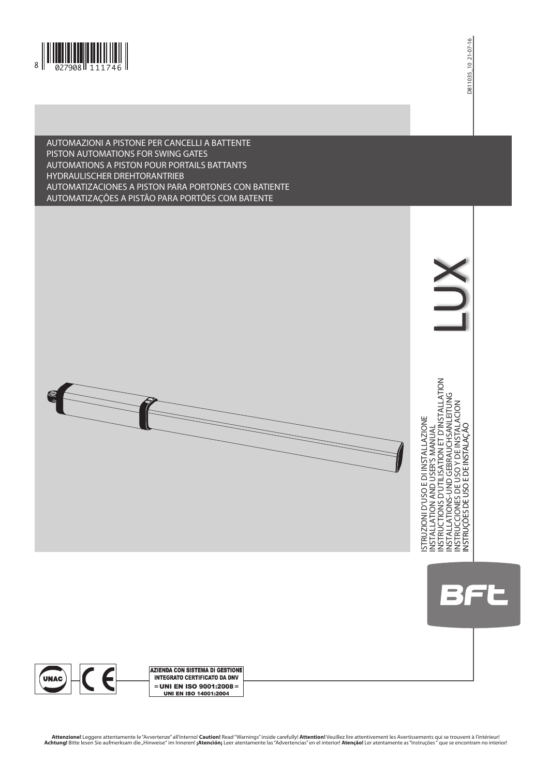

## AUTOMAZIONI A PISTONE PER CANCELLI A BATTENTE PISTON AUTOMATIONS FOR SWING GATES AUTOMATIONS A PISTON POUR PORTAILS BATTANTS HYDRAULISCHER DREHTORANTRIEB AUTOMATIZACIONES A PISTON PARA PORTONES CON BATIENTE AUTOMATIZAÇÕES A PISTÃO PARA PORTÕES COM BATENTE







Attenzione! Leggere attentamente le "Avvertenze" all'interno! Caution! Read "Warnings" inside carefully! Attention! Veuillez lire attentivement les Avertissements qui se trouvent à l'intérieur!<br>Achtung! Bitte lesen Sie auf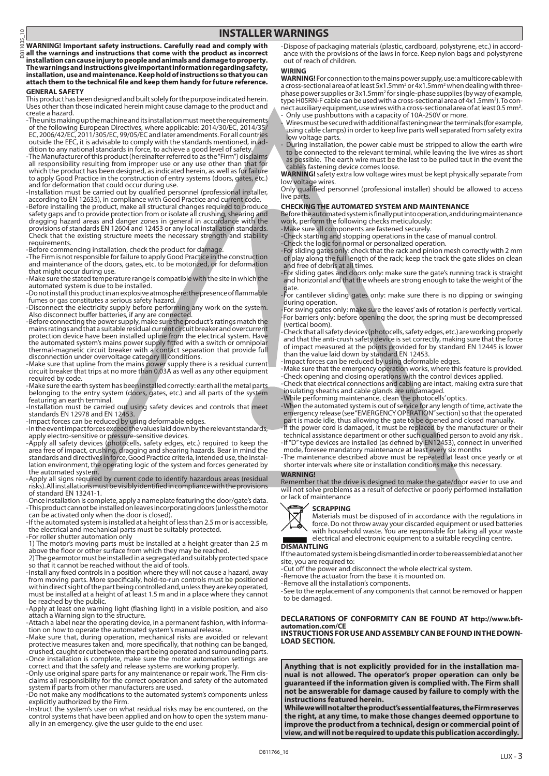D811035\_10 035 **WARNING! Important safety instructions. Carefully read and comply with**  D81

 $\subseteq$ 

**all the warnings and instructions that come with the product as incorrect installation can cause injury to people and animals and damage to property. The warnings and instructions give important information regarding safety, installation, use and maintenance. Keep hold of instructions so that you can attach them to the technical file and keep them handy for future reference. GENERAL SAFETY**

This product has been designed and built solely for the purpose indicated herein. Uses other than those indicated herein might cause damage to the product and create a hazard.

-The units making up the machine and its installation must meet the requirements<br>of the following European Directives, where applicable: 2014/30/EC, 2014/35/<br>EC, 2006/42/EC, 2011/305/EC, 99/05/EC and later amendments. For

-The Manufacturer of this product (hereinafter referred to as the "Firm") disclaims<br>all responsibility resulting from improper use or any use other than that for<br>which the product has been designed, as indicated herein, as to apply Good Practice in the construction of entry systems (doors, gates, etc.)

and for deformation that could occur during use. - Installation must be carried out by qualified personnel (professional installer, according to EN 12635), in compliance with Good Practice and current code.

- Before installing the product, make all structural changes required to produce safety gaps and to provide protection from or isolate all crushing, shearing and dragging hazard areas and danger zones in general in accordance with the provisions of standards EN 12604 and 12453 or any local installation standards. Check that the existing structure meets the necessary strength and stability requirements.

-Before commencing installation, check the product for damage.<br>-The Firm is not responsible for failure to apply Good Practice in the construction<br>and maintenance of the doors, gates, etc. to be motorized, or for deformati that might occur during use.

- Make sure the stated temperature range is compatible with the site in which the automated system is due to be installed.

- Do not install this product in an explosive atmosphere: the presence of flammable fumes or gas constitutes a serious safety hazard.

-Disconnect the electricity supply before performing any work on the system.<br>Also disconnect buffer batteries, if any are connected.<br>-Before connecting the power supply, make sure the product's ratings match the<br>mains rati disconnection under overvoltage category III conditions. - Make sure that upline from the mains power supply there is a residual current

circuit breaker that trips at no more than 0.03A as well as any other equipment required by code.

- Make sure the earth system has been installed correctly: earth all the metal parts belonging to the entry system (doors, gates, etc.) and all parts of the system featuring an earth terminal.

- Installation must be carried out using safety devices and controls that meet standards EN 12978 and EN 12453.

-Impact forces can be reduced by using deformable edges.<br>-In the event impact forces exceed the values laid down by the relevant standards,

apply electro-sensitive or pressure-sensitive devices. - Apply all safety devices (photocells, safety edges, etc.) required to keep the area free of impact, crushing, dragging and shearing hazards. Bear in mind the standards and directives in force, Good Practice criteria, intended use, the instal- lation environment, the operating logic of the system and forces generated by the automated system.

- Apply all signs required by current code to identify hazardous areas (residual risks). All installations must be visibly identified in compliance with the provisions of standard EN 13241-1.

- Once installation is complete, apply a nameplate featuring the door/gate's data. - This product cannot be installed on leaves incorporating doors (unless the motor can be activated only when the door is closed).

- If the automated system is installed at a height of less than 2.5 m or is accessible, the electrical and mechanical parts must be suitably protected.

- For roller shutter automation only 1) The motor's moving parts must be installed at a height greater than 2.5 m above the floor or other surface from which they may be reached.

2) The gearmotor must be installed in a segregated and suitably protected space

so that it cannot be reached without the aid of tools.<br>-Install any fixed controls in a position where they will not cause a hazard, away<br>from moving parts. More specifically, hold-to-run controls must be positioned<br>within must be installed at a height of at least 1.5 m and in a place where they cannot

be reached by the public. - Apply at least one warning light (flashing light) in a visible position, and also attach a Warning sign to the structure.

- Attach a label near the operating device, in a permanent fashion, with informa- tion on how to operate the automated system's manual release.

- Make sure that, during operation, mechanical risks are avoided or relevant protective measures taken and, more specifically, that nothing can be banged, crushed, caught or cut between the part being operated and surrounding parts.

-Once installation is complete, make sure the motor automation settings are<br>correct and that the safety and release systems are working properly.<br>-Only use original spare parts for any maintenance or repair work. The Firm system if parts from other manufacturers are used.

- Do not make any modifications to the automated system's components unless explicitly authorized by the Firm.

- Instruct the system's user on what residual risks may be encountered, on the control systems that have been applied and on how to open the system manu- ally in an emergency. give the user guide to the end user.

- Dispose of packaging materials (plastic, cardboard, polystyrene, etc.) in accord- ance with the provisions of the laws in force. Keep nylon bags and polystyrene out of reach of children.

#### **WIRING**

**WARNING!** For connection to the mains power supply, use: a multicore cable with a cross-sectional area of at least 5x1.5mm<sup>2</sup> or 4x1.5mm<sup>2</sup> when dealing with threephase power supplies or 3x1.5mm<sup>2</sup> for single-phase supplies (by way of example, type H05RN-F cable can be used with a cross-sectional area of 4x1.5mm<sup>2</sup>). To connect auxiliary equipment, use wires with a cross-sectional area of at least 0.5 mm2 . - Only use pushbuttons with a capacity of 10A-250V or more.

- Wires must be secured with additional fastening near the terminals (for example, using cable clamps) in order to keep live parts well separated from safety extra low voltage parts.

During installation, the power cable must be stripped to allow the earth wire to be connected to the relevant terminal, while leaving the live wires as short as possible. The earth wire must be the last to be pulled taut in the event the cable's fastening device comes loose.

**WARNING!** safety extra low voltage wires must be kept physically separate from low voltage wires.

Only qualified personnel (professional installer) should be allowed to access live parts.

#### **CHECKING THE AUTOMATED SYSTEM AND MAINTENANCE**

Before the automated system is finally put into operation, and during maintenance work, perform the following checks meticulously:

- Make sure all components are fastened securely.

- Check starting and stopping operations in the case of manual control.

- Check the logic for normal or personalized operation. - For sliding gates only: check that the rack and pinion mesh correctly with 2 mm of play along the full length of the rack; keep the track the gate slides on clean and free of debris at all times.

- For sliding gates and doors only: make sure the gate's running track is straight and horizontal and that the wheels are strong enough to take the weight of the gate.

- For cantilever sliding gates only: make sure there is no dipping or swinging during operation.

- For swing gates only: make sure the leaves' axis of rotation is perfectly vertical. -For barriers only: before opening the door, the spring must be decompressed (vertical boom).

- Check that all safety devices (photocells, safety edges, etc.) are working properly and that the anti-crush safety device is set correctly, making sure that the force of impact measured at the points provided for by standard EN 12445 is lower than the value laid down by standard EN 12453.

- Impact forces can be reduced by using deformable edges.

- Make sure that the emergency operation works, where this feature is provided. - Check opening and closing operations with the control devices applied.

- Check that electrical connections and cabling are intact, making extra sure that insulating sheaths and cable glands are undamaged.

- While performing maintenance, clean the photocells' optics.

- When the automated system is out of service for any length of time, activate the emergency release (see "EMERGENCY OPERATION" section) so that the operated part is made idle, thus allowing the gate to be opened and closed manually.

-If the power cord is damaged, it must be replaced by the manufacturer or their<br>technical assistance department or other such qualified person to avoid any risk.<br>-If "D" type devices are installed (as defined by EN12453),

mode, foresee mandatory maintenance at least every six months - The maintenance described above must be repeated at least once yearly or at shorter intervals where site or installation conditions make this necessary.

#### **WARNING!**

Remember that the drive is designed to make the gate/door easier to use and will not solve problems as a result of defective or poorly performed installation or lack of maintenance



Materials must be disposed of in accordance with the regulations in force. Do not throw away your discarded equipment or used batteries with household waste. You are responsible for taking all your waste electrical and electronic equipment to a suitable recycling centre.

**DISMANTLING** If the automated system is being dismantled in order to be reassembled at another site, you are required to:

- Cut off the power and disconnect the whole electrical system.

- Remove the actuator from the base it is mounted on.

- Remove all the installation's components.

- See to the replacement of any components that cannot be removed or happen to be damaged.

**DECLARATIONS OF CONFORMITY CAN BE FOUND AT http://www.bftautomation.com/CE INSTRUCTIONS FOR USE AND ASSEMBLY CAN BE FOUND IN THE DOWN- LOAD SECTION.**

**Anything that is not explicitly provided for in the installation manual is not allowed. The operator's proper operation can only be guaranteed if the information given is complied with. The Firm shall not be answerable for damage caused by failure to comply with the instructions featured herein.**

**While we will not alter the product's essential features, the Firm reserves the right, at any time, to make those changes deemed opportune to improve the product from a technical, design or commercial point of view, and will not be required to update this publication accordingly.**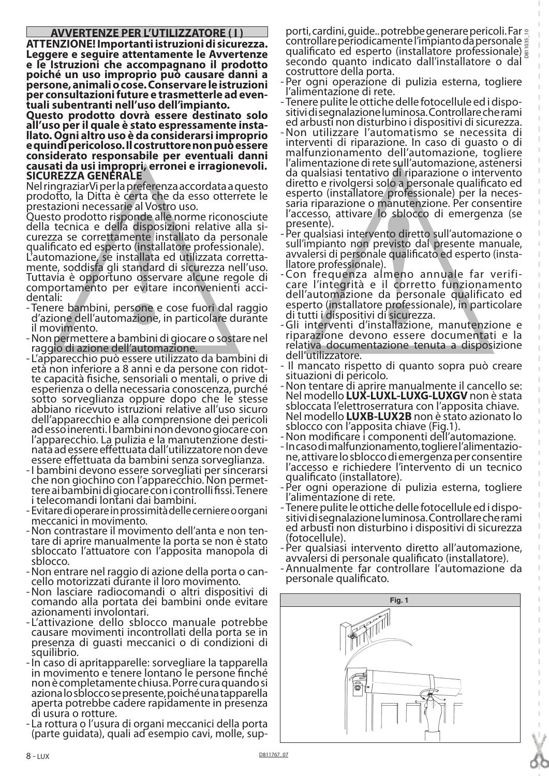## **AVVERTENZE PER L'UTILIZZATORE ( I )**

**ATTENZIONE! Importanti istruzioni di sicurezza. Leggere e seguire attentamente le Avvertenze e le Istruzioni che accompagnano il prodotto poiché un uso improprio può causare danni a persone, animali o cose. Conservare le istruzioni per consultazioni future e trasmetterle ad even- tuali subentranti nell'uso dell'impianto.**

**Questo prodotto dovrà essere destinato solo all'uso per il quale è stato espressamente insta- llato. Ogni altro uso è da considerarsi improprio e quindi pericoloso. Il costruttore non può essere considerato responsabile per eventuali danni causati da usi impropri, erronei e irragionevoli. SICUREZZA GENERALE**

Nel ringraziarVi per la preferenza accordata a questo prodotto, la Ditta è certa che da esso otterrete le prestazioni necessarie al Vostro uso.

Questo prodotto risponde alle norme riconosciute curezza se correttamente installato da personale qualificato ed esperto (installatore professionale).

L'automazione, se installata ed utilizzata corretta- mente, soddisfa gli standard di sicurezza nell'uso. Tuttavia è opportuno osservare alcune regole di comportamento per evitare inconvenienti acci-<br>dentali:

- Tenere bambini, persone e cose fuori dal raggio d'azione dell'automazione, in particolare durănte<br>il movimento.
- il movimento. -Non permettere a bambini di giocare o sostare nel raggio di azione dell'automazione.
- L'apparecchio può essere utilizzato da bambini di età non inferiore a 8 anni e da persone con ridot- te capacità fisiche, sensoriali o mentali, o prive di esperienza o della necessaria conoscenza, purché abbiano ricevuto istruzioni relative all'uso sicuro dell'apparecchio e alla comprensione dei pericoli l'apparecchio. La pulizia e la manutenzione desti-<br>nata ad essere effettuata dall'utilizzatore non deve essere effettuata da bambini senza sorveglianza.
- -I bambini devono essere sorvegliati per sincerarsi che non giochino con l'apparecchio. Non permet- tere ai bambini di giocare con i controlli fissi. Tenere i telecomandi lontani dai bambini.
- Evitare di operare in prossimità delle cerniere o organi meccanici in movimento.
- -Non contrastare il movimento dell'anta e non ten- tare di aprire manualmente la porta se non è stato sbloccato l'attuatore con l'apposita manopola di<br>sblocco.<br>-Non entrare nel raggio di azione della porta o can-<br>cello motorizzati durante il loro movimento.
- 
- -Non lasciare radiocomandi o altri dispositivi di comando alla portata dei bambini onde evitare
- L'attivazione dello sblocco manuale potrebbe causare movimenti incontrollati della porta se in presenza di guasti meccanici o di condizioni di
- squilibrio.<br>In caso di apritapparelle: sorvegliare la tapparella -<br>in movimento e tenere lontano le persone finché non è completamente chiusa. Porre cura quando si<br>aziona lo sblocco se presente, poiché una tapparella aperta potrebbe cadere rapidamente in presenza
- di usura o rotture.<br>- La rottura o l'usura di organi meccanici della porta (parte guidata), quali ad esempio cavi, molle, sup-

D811035\_10 porti, cardini, guide.. potrebbe generare pericoli. Far controllare periodicamente l'impianto da personale qualificato ed esperto (installatore professionale) secondo quanto indicato dall'installatore o dal costruttore della porta.

- Per ogni operazione di pulizia esterna, togliere l'alimentazione di rete.
- Tenere pulite le ottiche delle fotocellule ed i dispo- sitivi di segnalazione luminosa. Controllare che rami ed arbusti non disturbino i dispositivi di sicurezza.
- -Non utilizzare l'automatismo se necessita di interventi di riparazione. In caso di guasto o di malfunzionamento dell'automazione, togliere<br>l'alimentazione di rete sull'automazione, astenersi l'alimentazione di rete sull'automazione, astenersi<br>da qualsiasi tentativo di riparazione o intervento diretto e rivolgersi solo a personale qualificato ed esperto (installatore professionale) per la neces- saria riparazione o manutenzione. Per consentire l'accesso, attivare lo sblocco di emergenza (se presente).
- Per qualsiasi intervento diretto sull'automazione o sull'impianto non previsto dal presente manuale,<br>avvalersi di personale qualificato ed esperto (insta-<br>llatore professionale).
- -Con frequenza almeno annuale far verifi- care l'integrità e il corretto funzionamento dell'automazione da personale qualificato ed esperto (installatore professionale), in particolare<br>di tutti i dispositivi di sicurezza.
- -Gli interventi d'installazione, manutenzione e riparazione devono essere documentati e la relativa documentazione tenuta a disposizione dell'utilizzatore.
- Il mancato rispetto di quanto sopra può creare<br>situazioni di pericolo.
- situazioni di pericolo. -Non tentare di aprire manualmente il cancello se: Nel modello **LUX-LUXL-LUXG-LUXGV** non è stata Nel modello **LUXB-LUX2B** non è stato azionato lo sblocco con l'apposita chiave (Fig.1).
- 
- s Non modificare i componenti dell'automazione.<br>1). In caso di malfunzionamento, togliere l'alimentazio-<br>ne, attivare lo sblocco di emergenza per consentire l'accesso e richiedere l'intervento di un tecnico
- qualificato (installatore). Per ogni operazione di pulizia esterna, togliere
- l'alimentazione di rete. sitivi di segnalazione luminosa. Controllare che rami ed arbusti non disturbino i dispositivi di sicurezza
- (fotocellule). Per qualsiasi intervento diretto all'automazione, avvalersi di personale qualificato (installatore). -Annualmente far controllare l'automazione da
- personale qualificato.

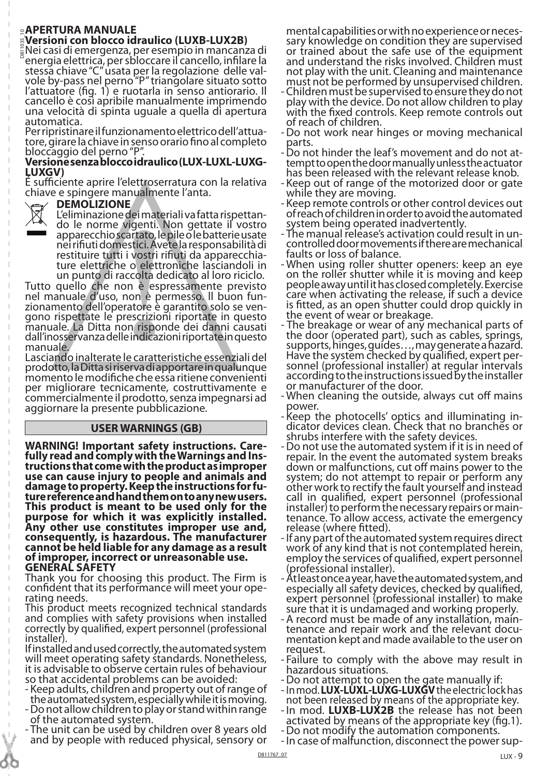## ⊵**APERTURA MANUALE<br>%Versioni con blocco idraulico (LUXB-LUX2B)**<br><sub>&</sub>Nei casi di emergenza, per esempio in mancanza di <mark>ੁAPERTURA MANUALE</mark><br>៉ូVersioni con blocco idraulico (LUXB-LUX2B)

energia elettrica, per sbloccare il cancello, infilare la stessa chiave "C" usata per la regolazione delle val-<br>vole by-pass nel perno "P" triangolare situato sotto l'attuatore (fig. 1) e ruotarla in senso antiorario. Il cancello è così apribile manualmente imprimendo una velocità di spinta uguale a quella di apertura

automatica.<br>Per ripristinare il funzionamento elettrico dell'attua-Per ripristinare il funzionamento elettrico dell'attua- tore, girare la chiave in senso orario fino al completo bloccaggio del perno "P".

## **Versione senza blocco idraulico (LUX-LUXL-LUXG-LUXGV)**

É sufficiente aprire l'elettroserratura con la relativa chiave e spingere manualmente l'anta.

## **DEMOLIZIONE**



L'eliminazione dei materiali va fatta rispettan- do le norme vigenti. Non gettate il vostro

apparecchio scartato, le pile o le batterie usate nei rifiuti domestici. Avete la responsabilità di restituire tutti i vostri rifiuti da apparecchia- ture elettriche o elettroniche lasciandoli in un punto di raccolta dedicato al loro riciclo.

Tutto quello che non è espressamente previsto nel manuale d'uso, non è permesso. ll buon fun- zionamento dell'operatore è garantito solo se ven- gono rispettate le prescrizioni riportate in questo manuale. La Ditta non risponde dei danni causati dall'inosservanza delle indicazioni riportate in questo manuale.

Lasciando inalterate le caratteristiche essenziali del prodotto, la Ditta si riserva di apportare in qualunque momento le modifiche che essa ritiene convenienti per migliorare tecnicamente, costruttivamente e commercialmente il prodotto, senza impegnarsi ad aggiornare la presente pubblicazione.

## **USER WARNINGS (GB)**

**WARNING! Important safety instructions. Care- fully read and comply with the Warnings and Ins- tructions that come with the product as improper use can cause injury to people and animals and damage to property. Keep the instructions for fu- ture reference and hand them on to any new users. This product is meant to be used only for the purpose for which it was explicitly installed. Any other use constitutes improper use and, consequently, is hazardous. The manufacturer cannot be held liable for any damage as a result of improper, incorrect or unreasonable use. GENERAL SAFETY**

Thank you for choosing this product. The Firm is confident that its performance will meet your ope- rating needs.

This product meets recognized technical standards and complies with safety provisions when installed correctly by qualified, expert personnel (professional installer).

If installed and used correctly, the automated system will meet operating safety standards. Nonetheless, it is advisable to observe certain rules of behaviour so that accidental problems can be avoided:

- 
- Keep adults, children and property out of range of the automated system, especially while it is moving. -Do not allow children to play or stand within range of the automated system.
- The unit can be used by children over 8 years old and by people with reduced physical, sensory or

mental capabilities or with no experience or neces- sary knowledge on condition they are supervised or trained about the safe use of the equipment and understand the risks involved. Children must not play with the unit. Cleaning and maintenance must not be performed by unsupervised children.

- -Children must be supervised to ensure they do not play with the device. Do not allow children to play with the fixed controls. Keep remote controls out
- -Do not work near hinges or moving mechanical
- parts.<br>- Do not hinder the leaf's movement and do not at-<br>tempt to open the door manually unless the actuator has been released with the relevant release knob.
- Keep out of range of the motorized door or gate<br>while they are moving.
- Keep remote controls or other control devices out of reach of children in order to avoid the automated system being operated inadvertently.
- The manual release's activation could result in un- controlled door movements if there are mechanical faults or loss of balance.
- When using roller shutter openers: keep an eye on the roller shutter while it is moving and keep people away until it has closed completely. Exercise care when activating the release, if such a device is fitted, as an open shutter could drop quickly in the event of wear or breakage. - The breakage or wear of any mechanical parts of
- the door (operated part), such as cables, springs, supports, hinges, guides…, may generate a hazard. Have the system checked by qualified, expert per- sonnel (professional installer) at regular intervals according to the instructions issued by the installer or manufacturer of the door.
- When cleaning the outside, always cut off mains
- Keep the photocells' optics and illuminating in-<br>dicator devices clean. Check that no branches or<br>shrubs interfere with the safety devices.
- Do not use the automated system if it is in need of repair. In the event the automated system breaks down or malfunctions, cut off mains power to the system; do not attempt to repair or perform any other work to rectify the fault yourself and instead call in qualified, expert personnel (professional installer) to perform the necessary repairs or main- tenance. To allow access, activate the emergency release (where fitted).
- -If any part of the automated system requires direct work of any kind that is not contemplated herein, employ the services of qualified, expert personnel (professional installer).
- -At least once a year, have the automated system, and especially all safety devices, checked by qualified, expert personnel (professional installer) to make
- sure that it is undamaged and working properly. -A record must be made of any installation, main- tenance and repair work and the relevant docu- mentation kept and made available to the user on request.
- Failure to comply with the above may result in<br>hazardous situations.
- 
- Do not attempt to open the gate manually if:<br>- In mod. **LUX-LUXL-LUXG-LUXGV** the electric lock has not been released by means of the appropriate key.
- -In mod. **LUXB-LUX2B** the release has not been<br>activated by means of the appropriate key (fig.1).
- Do not modify the automation components.<br>- In case of malfunction, disconnect the power sup-
-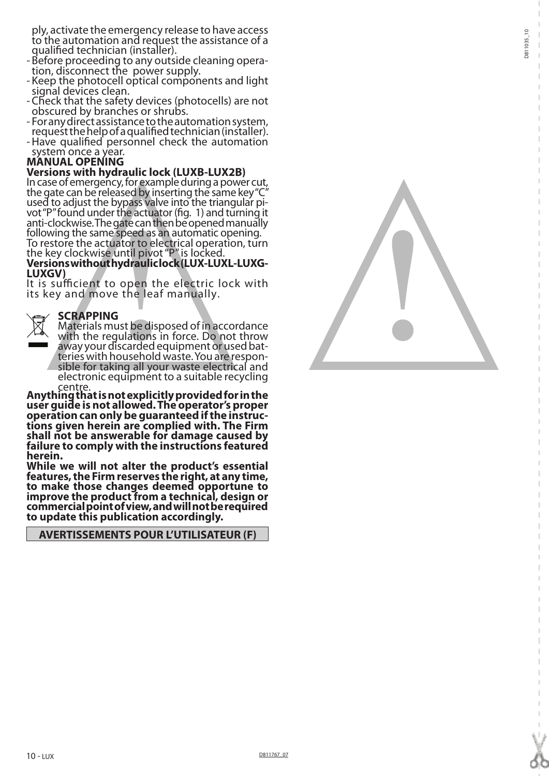ply, activate the emergency release to have access to the automation and request the assistance of a qualified technician (installer).

- Before proceeding to any outside cleaning opera- tion, disconnect the power supply.
- Keep the photocell optical components and light
- Check that the safety devices (photocells) are not obscured by branches or shrubs.
- For any direct assistance to the automation system, request the help of a qualified technician (installer).
- Have qualified personnel check the automation<br>system once a year.

## system once a year. **MANUAL OPENING**

## **Versions with hydraulic lock (LUXB-LUX2B)**

In case of emergency, for example during a power cut, the gate can be released by inserting the same key "C"<br>used to adjust the bypass valve into the triangular pivot "P" found under the actuator (fig. 1) and turning it anti-clockwise. The gate can then be opened manually following the same speed as an automatic opening. To restore the actuator to electrical operation, turn the key clockwise until pivot "P" is locked.

## **Versions without hydraulic lock (LUX-LUXL-LUXG-LUXGV)**

It is sufficient to open the electric lock with its key and move the leaf manually.

# **SCRAPPING**<br>Materials must be disposed of in accordance with the regulations in force. Do not throw<br>away your discarded equipment or used batteries with household waste. You are respon-<br>sible for taking all your waste electrical and

electronic equipment to a suitable recycling

centre. **Anything that is not explicitly provided for in the user guide is not allowed. The operator's proper operation can only be guaranteed if the instruc- tions given herein are complied with. The Firm shall not be answerable for damage caused by failure to comply with the instructions featured herein.**

**While we will not alter the product's essential features, the Firm reserves the right, at any time, to make those changes deemed opportune to improve the product from a technical, design or commercial point of view, and will not be required to update this publication accordingly.**

**AVERTISSEMENTS POUR L'UTILISATEUR (F)**

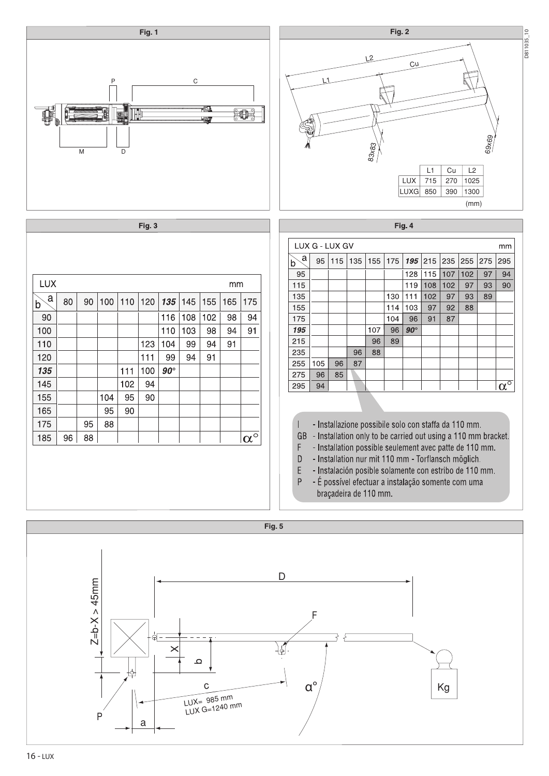

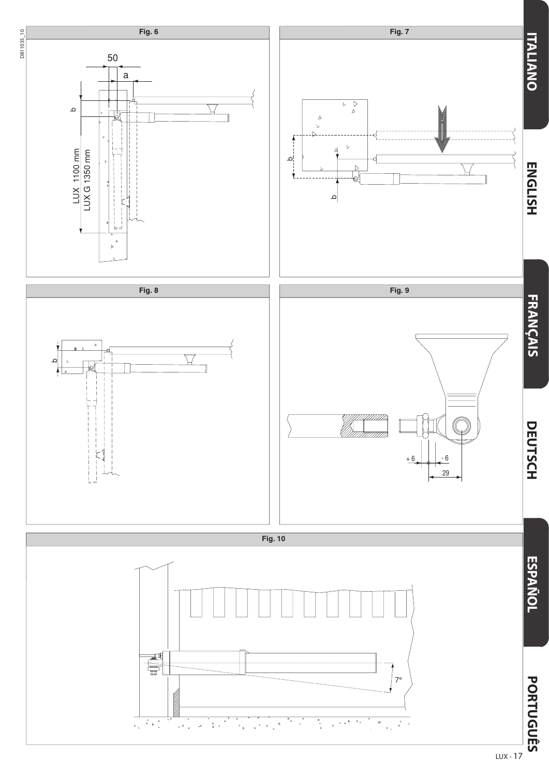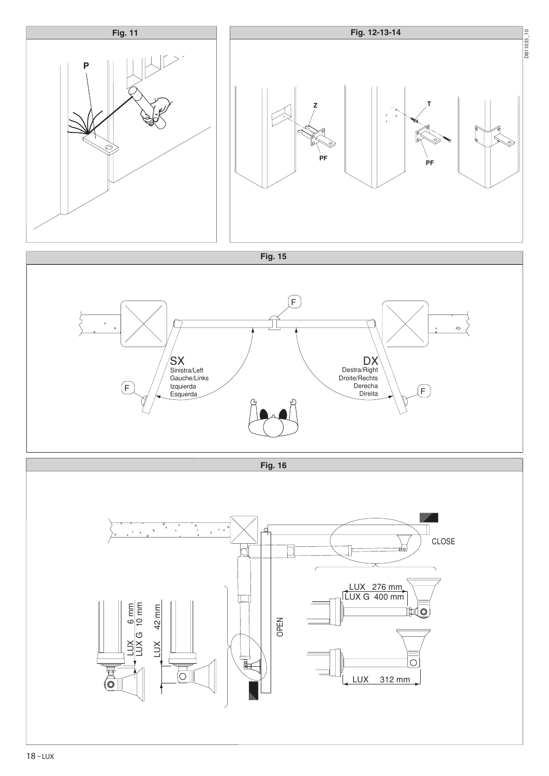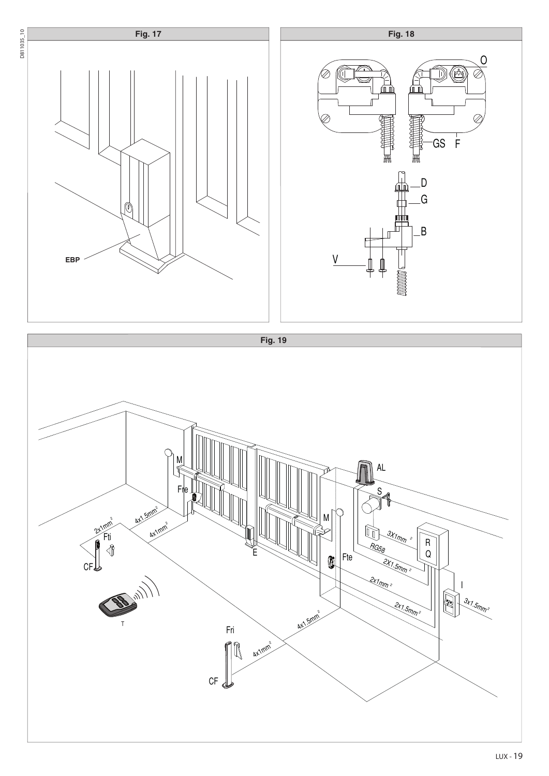

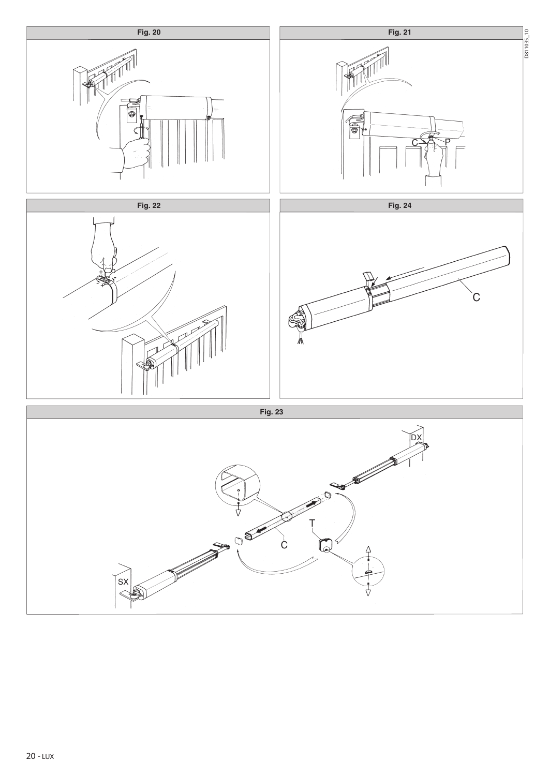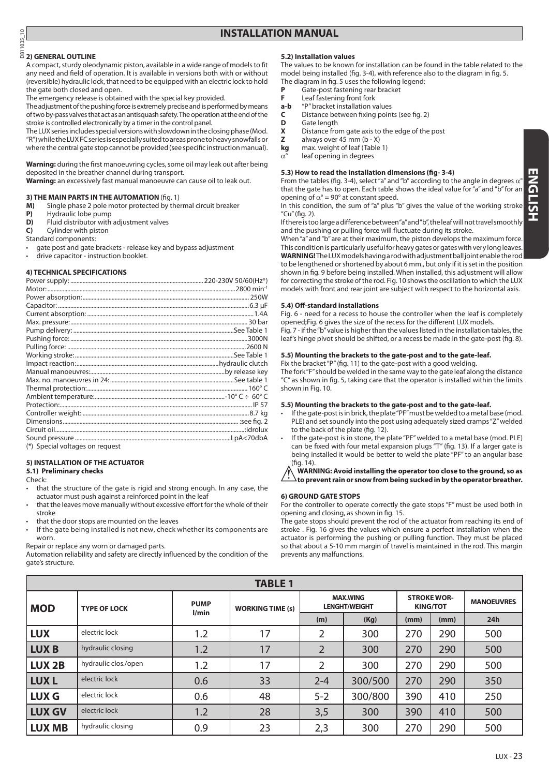## D811035\_10 **2) GENERAL OUTLINE**

 $335$ 

A compact, sturdy oleodynamic piston, available in a wide range of models to fit any need and field of operation. It is available in versions both with or without (reversible) hydraulic lock, that need to be equipped with an electric lock to hold the gate both closed and open.

The emergency release is obtained with the special key provided.

The adjustment of the pushing force is extremely precise and is performed by means of two by-pass valves that act as an antisquash safety. The operation at the end of the stroke is controlled electronically by a timer in the control panel.

The LUX series includes special versions with slowdown in the closing phase (Mod. "R") while the LUX FC series is especially suited to areas prone to heavy snowfalls or where the central gate stop cannot be provided (see specific instruction manual).

**Warning:** during the first manoeuvring cycles, some oil may leak out after being deposited in the breather channel during transport.

**Warning:** an excessively fast manual manoeuvre can cause oil to leak out.

## **3) THE MAIN PARTS IN THE AUTOMATION** (fig. 1)

**M)** Single phase 2 pole motor protected by thermal circuit breaker

- **P)** Hydraulic lobe pump
- **D)** Fluid distributor with adjustment valves
- **C)** Cylinder with piston

Standard components:

gate post and gate brackets - release key and bypass adjustment drive capacitor - instruction booklet.

#### **4) TECHNICAL SPECIFICATIONS**

| (*) Special voltages on request |  |
|---------------------------------|--|

#### **5) INSTALLATION OF THE ACTUATOR**

#### **5.1) Preliminary checks**

Check:

- that the structure of the gate is rigid and strong enough. In any case, the actuator must push against a reinforced point in the leaf
- that the leaves move manually without excessive effort for the whole of their stroke
- that the door stops are mounted on the leaves
- If the gate being installed is not new, check whether its components are worn.

Repair or replace any worn or damaged parts.

Automation reliability and safety are directly influenced by the condition of the gate's structure.

### **5.2) Installation values**

The values to be known for installation can be found in the table related to the model being installed (fig. 3-4), with reference also to the diagram in fig. 5. The diagram in fig. 5 uses the following legend:

- **P** Gate-post fastening rear bracket
- **F** Leaf fastening front fork<br>**a-b** "P" bracket installation v
- **a-b** "P" bracket installation values
- **C** Distance between fixing points (see fig. 2)
- **D** Gate length
- **X** Distance from gate axis to the edge of the post<br>**Z** always over 45 mm (b X)
- always over 45 mm (b X)
- **kg** max. weight of leaf (Table 1)
- $\alpha^{\circ}$  leaf opening in degrees

#### **5.3) How to read the installation dimensions (fig- 3-4)**

From the tables (fig. 3-4), select "a" and "b" according to the angle in degrees  $\alpha$ that the gate has to open. Each table shows the ideal value for "a" and "b" for an opening of  $\alpha^{\circ}$  = 90° at constant speed.

In this condition, the sum of "a" plus "b" gives the value of the working strok "Cu" (fig. 2).

If there is too large a difference between "a" and "b", the leaf will not travel smoothly and the pushing or pulling force will fluctuate during its stroke.

When "a" and "b" are at their maximum, the piston develops the maximum force. This condition is particularly useful for heavy gates or gates with very long leaves. **WARNING!** The LUX models having a rod with adjustment ball joint enable the rod to be lengthened or shortened by about 6 mm., but only if it is set in the position shown in fig. 9 before being installed. When installed, this adjustment will allow for correcting the stroke of the rod. Fig. 10 shows the oscillation to which the LUX models with front and rear joint are subject with respect to the horizontal axis.

#### **5.4) Off-standard installations**

Fig. 6 - need for a recess to house the controller when the leaf is completely opened;Fig. 6 gives the size of the recess for the different LUX models.

Fig. 7 - if the "b" value is higher than the values listed in the installation tables, the leaf's hinge pivot should be shifted, or a recess be made in the gate-post (fig. 8).

#### **5.5) Mounting the brackets to the gate-post and to the gate-leaf.**

Fix the bracket "P" (fig. 11) to the gate-post with a good welding. The fork "F" should be welded in the same way to the gate leaf along the distance "C" as shown in fig. 5, taking care that the operator is installed within the limits shown in Fig. 10.

#### **5.5) Mounting the brackets to the gate-post and to the gate-leaf.**

- If the gate-post is in brick, the plate "PF" must be welded to a metal base (mod. PLE) and set soundly into the post using adequately sized cramps "Z" welded to the back of the plate (fig. 12).
- If the gate-post is in stone, the plate "PF" welded to a metal base (mod. PLE) can be fixed with four metal expansion plugs "T" (fig. 13). If a larger gate is being installed it would be better to weld the plate "PF" to an angular base (fig. 14).

**WARNING: Avoid installing the operator too close to the ground, so as to prevent rain or snow from being sucked in by the operator breather.** 

#### **6) GROUND GATE STOPS**

For the controller to operate correctly the gate stops "F" must be used both in opening and closing, as shown in fig. 15.

The gate stops should prevent the rod of the actuator from reaching its end of stroke . Fig. 16 gives the values which ensure a perfect installation when the actuator is performing the pushing or pulling function. They must be placed so that about a 5-10 mm margin of travel is maintained in the rod. This margin prevents any malfunctions.

| <b>TABLE 1</b> |                      |                      |                         |                                         |         |                                       |      |                   |  |
|----------------|----------------------|----------------------|-------------------------|-----------------------------------------|---------|---------------------------------------|------|-------------------|--|
| <b>MOD</b>     | <b>TYPE OF LOCK</b>  | <b>PUMP</b><br>l/min | <b>WORKING TIME (s)</b> | <b>MAX.WING</b><br><b>LENGHT/WEIGHT</b> |         | <b>STROKE WOR-</b><br><b>KING/TOT</b> |      | <b>MANOEUVRES</b> |  |
|                |                      |                      |                         | (m)                                     | (Kg)    | (mm)                                  | (mm) | 24h               |  |
| <b>LUX</b>     | electric lock        | 1.2                  | 17                      | 2                                       | 300     | 270                                   | 290  | 500               |  |
| <b>LUXB</b>    | hydraulic closing    | 1.2                  | 17                      | $\overline{2}$                          | 300     | 270                                   | 290  | 500               |  |
| <b>LUX 2B</b>  | hydraulic clos./open | 1.2                  | 17                      | $\overline{2}$                          | 300     | 270                                   | 290  | 500               |  |
| <b>LUXL</b>    | electric lock        | 0.6                  | 33                      | $2 - 4$                                 | 300/500 | 270                                   | 290  | 350               |  |
| <b>LUX G</b>   | electric lock        | 0.6                  | 48                      | $5 - 2$                                 | 300/800 | 390                                   | 410  | 250               |  |
| <b>LUX GV</b>  | electric lock        | 1.2                  | 28                      | 3,5                                     | 300     | 390                                   | 410  | 500               |  |
| <b>LUX MB</b>  | hydraulic closing    | 0.9                  | 23                      | 2,3                                     | 300     | 270                                   | 290  | 500               |  |